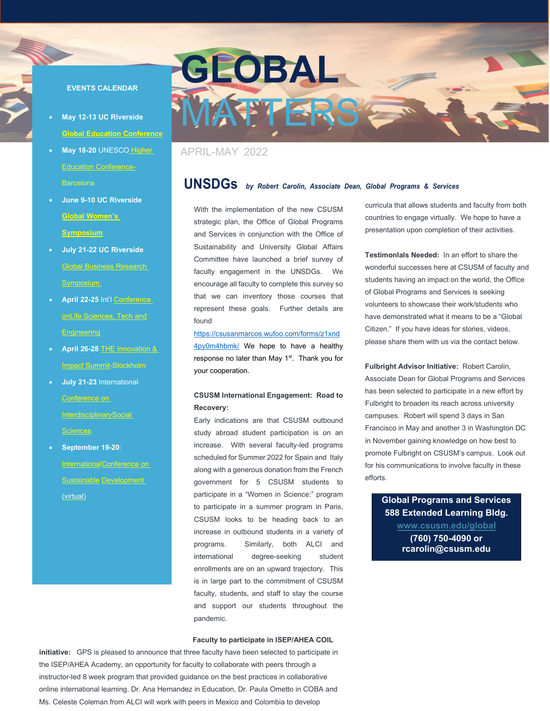#### **EVENTS CALENDAR**

- **May 12-13 UC Riverside [Global Education Conference](https://www.uofriverside.com/2022-may-global-education-conference/)**
- **May 18-20** UNESCO [Higher](https://www.unesco.org/en/education/higher-education/2022-world-conference)  [Education Conference-](https://www.unesco.org/en/education/higher-education/2022-world-conference)Barcelona
- **June 9-10 UC Riverside [Global Women's](https://www.uofriverside.com/2022-global-womens-leadership-symposium/)  [Symposium](https://www.uofriverside.com/2022-global-womens-leadership-symposium/)**
- **July 21-22 UC Riverside** [Global Business Research](https://www.uofriverside.com/2022-summer-global-business-research-symposium/)  [Symposium.](https://www.uofriverside.com/2022-summer-global-business-research-symposium/)
- **April 22-25** Int'l Conference onLife Sciences, Tech and **Engineering**
- **April 26-28** [THE Innovation &](https://csusanmarcos.wufoo.com/forms/z1xnd4py0m4hbmk/)  [Impact Summit-](https://www.timeshighered-events.com/innovation-impact-summit-2022)Stockholm
- **July 21-23** International Conference on InterdisciplinarySocial Sciences
- **September 19-20**: InternationalConference on Sustainable Development



# APRIL-MAY 2022

# **UNSDGs** *by Robert Carolin, Associate Dean, Global Programs & Services*

With the implementation of the new CSUSM strategic plan, the Office of Global Programs and Services in conjunction with the Office of Sustainability and University Global Affairs Committee have launched a brief survey of faculty engagement in the UNSDGs. We encourage all faculty to complete this survey so that we can inventory those courses that represent these goals. Further details are found

#### [https://csusanmarcos.wufoo.com/forms/z1xnd](https://csusanmarcos.wufoo.com/forms/z1xnd4py0m4hbmk/)

4py0m4hbmk/ We hope to have a healthy response no later than May 1<sup>st</sup>. Thank you for your cooperation.

#### **CSUSM International Engagement: Road to Recovery:**

Early indications are that CSUSM outbound study abroad student participation is on an increase. With several faculty-led programs scheduled for Summer 2022 for Spain and Italy along with a generous donation from the French government for 5 CSUSM students to participate in a "Women in Science:" program to participate in a summer program in Paris, CSUSM looks to be heading back to an increase in outbound students in a variety of programs. Similarly, both ALCI and international degree-seeking student enrollments are on an upward trajectory. This is in large part to the commitment of CSUSM faculty, students, and staff to stay the course and support our students throughout the pandemic. (virtual) **Global Programs and Services**

#### **Faculty to participate in ISEP/AHEA COIL**

**initiative:** GPS is pleased to announce that three faculty have been selected to participate in the ISEP/AHEA Academy, an opportunity for faculty to collaborate with peers through a instructor-led 8 week program that provided guidance on the best practices in collaborative online international learning. Dr. Ana Hernandez in Education, Dr. Paula Ometto in COBA and Ms. Celeste Coleman from ALCI will work with peers in Mexico and Colombia to develop

curricula that allows students and faculty from both countries to engage virtually. We hope to have a presentation upon completion of their activities.

**Testimonlals Needed:** In an effort to share the wonderful successes here at CSUSM of faculty and students having an impact on the world, the Office of Global Programs and Services is seeking volunteers to showcase their work/students who have demonstrated what it means to be a "Global Citizen." If you have ideas for stories, videos, please share them with us via the contact below.

**Fulbright Advisor Initiative:** Robert Carolin, Associate Dean for Global Programs and Services has been selected to participate in a new effort by Fulbright to broaden its reach across university campuses. Robert will spend 3 days in San Francisco in May and another 3 in Washington DC in November gaining knowledge on how best to promote Fulbright on CSUSM's campus. Look out for his communications to involve faculty in these efforts.

> **588 Extended Learning Bldg. [www.csusm.edu/global](http://www.csusm.edu/global) (760) 750-4090 or rcarolin@csusm.edu**